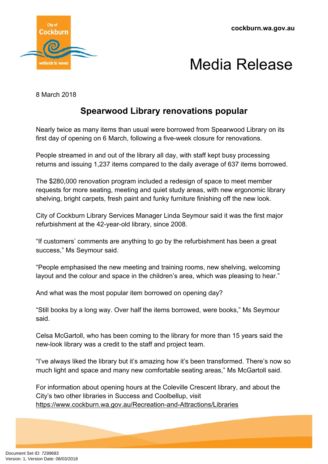

## Media Release

8 March 2018

## **Spearwood Library renovations popular**

Nearly twice as many items than usual were borrowed from Spearwood Library on its first day of opening on 6 March, following a five-week closure for renovations.

People streamed in and out of the library all day, with staff kept busy processing returns and issuing 1,237 items compared to the daily average of 637 items borrowed.

The \$280,000 renovation program included a redesign of space to meet member requests for more seating, meeting and quiet study areas, with new ergonomic library shelving, bright carpets, fresh paint and funky furniture finishing off the new look.

City of Cockburn Library Services Manager Linda Seymour said it was the first major refurbishment at the 42-year-old library, since 2008.

"If customers' comments are anything to go by the refurbishment has been a great success," Ms Seymour said.

"People emphasised the new meeting and training rooms, new shelving, welcoming layout and the colour and space in the children's area, which was pleasing to hear."

And what was the most popular item borrowed on opening day?

"Still books by a long way. Over half the items borrowed, were books," Ms Seymour said.

Celsa McGartoll, who has been coming to the library for more than 15 years said the new-look library was a credit to the staff and project team.

"I've always liked the library but it's amazing how it's been transformed. There's now so much light and space and many new comfortable seating areas," Ms McGartoll said.

For information about opening hours at the Coleville Crescent library, and about the City's two other libraries in Success and Coolbellup, visit <https://www.cockburn.wa.gov.au/Recreation-and-Attractions/Libraries>